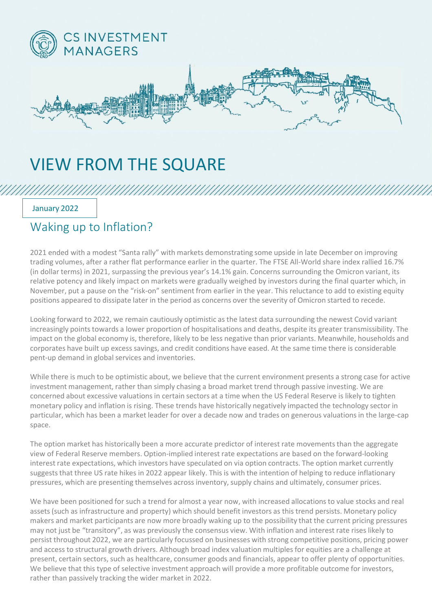

## VIEW FROM THE SQUARE

January 2022

## Waking up to Inflation?

2021 ended with a modest "Santa rally" with markets demonstrating some upside in late December on improving trading volumes, after a rather flat performance earlier in the quarter. The FTSE All-World share index rallied 16.7% (in dollar terms) in 2021, surpassing the previous year's 14.1% gain. Concerns surrounding the Omicron variant, its relative potency and likely impact on markets were gradually weighed by investors during the final quarter which, in November, put a pause on the "risk-on" sentiment from earlier in the year. This reluctance to add to existing equity positions appeared to dissipate later in the period as concerns over the severity of Omicron started to recede.

Looking forward to 2022, we remain cautiously optimistic as the latest data surrounding the newest Covid variant increasingly points towards a lower proportion of hospitalisations and deaths, despite its greater transmissibility. The impact on the global economy is, therefore, likely to be less negative than prior variants. Meanwhile, households and corporates have built up excess savings, and credit conditions have eased. At the same time there is considerable pent-up demand in global services and inventories.

While there is much to be optimistic about, we believe that the current environment presents a strong case for active investment management, rather than simply chasing a broad market trend through passive investing. We are concerned about excessive valuations in certain sectors at a time when the US Federal Reserve is likely to tighten monetary policy and inflation is rising. These trends have historically negatively impacted the technology sector in particular, which has been a market leader for over a decade now and trades on generous valuations in the large-cap space.

The option market has historically been a more accurate predictor of interest rate movements than the aggregate view of Federal Reserve members. Option-implied interest rate expectations are based on the forward-looking interest rate expectations, which investors have speculated on via option contracts. The option market currently suggests that three US rate hikes in 2022 appear likely. This is with the intention of helping to reduce inflationary pressures, which are presenting themselves across inventory, supply chains and ultimately, consumer prices.

We have been positioned for such a trend for almost a year now, with increased allocations to value stocks and real assets (such as infrastructure and property) which should benefit investors as this trend persists. Monetary policy makers and market participants are now more broadly waking up to the possibility that the current pricing pressures may not just be "transitory", as was previously the consensus view. With inflation and interest rate rises likely to persist throughout 2022, we are particularly focussed on businesses with strong competitive positions, pricing power and access to structural growth drivers. Although broad index valuation multiples for equities are a challenge at present, certain sectors, such as healthcare, consumer goods and financials, appear to offer plenty of opportunities. We believe that this type of selective investment approach will provide a more profitable outcome for investors, rather than passively tracking the wider market in 2022.